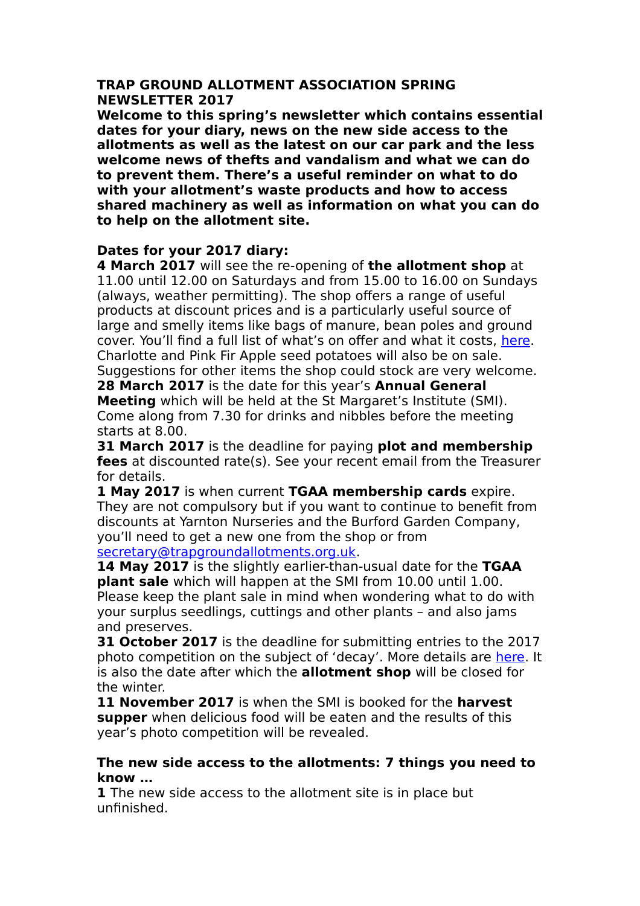#### **TRAP GROUND ALLOTMENT ASSOCIATION SPRING NEWSLETTER 2017**

**Welcome to this spring's newsletter which contains essential dates for your diary, news on the new side access to the allotments as well as the latest on our car park and the less welcome news of thefts and vandalism and what we can do to prevent them. There's a useful reminder on what to do with your allotment's waste products and how to access shared machinery as well as information on what you can do to help on the allotment site.** 

# **Dates for your 2017 diary:**

**4 March 2017** will see the re-opening of **the allotment shop** at 11.00 until 12.00 on Saturdays and from 15.00 to 16.00 on Sundays (always, weather permitting). The shop offers a range of useful products at discount prices and is a particularly useful source of large and smelly items like bags of manure, bean poles and ground cover. You'll find a full list of what's on offer and what it costs, [here.](http://www.trapgroundallotments.org.uk/trap-trading) Charlotte and Pink Fir Apple seed potatoes will also be on sale. Suggestions for other items the shop could stock are very welcome. **28 March 2017** is the date for this year's **Annual General Meeting** which will be held at the St Margaret's Institute (SMI). Come along from 7.30 for drinks and nibbles before the meeting

starts at 8.00.

**31 March 2017** is the deadline for paying **plot and membership fees** at discounted rate(s). See your recent email from the Treasurer for details.

**1 May 2017** is when current **TGAA membership cards** expire. They are not compulsory but if you want to continue to benefit from discounts at Yarnton Nurseries and the Burford Garden Company, you'll need to get a new one from the shop or from [secretary@trapgroundallotments.org.uk.](mailto:secretary@trapgroundallotments.org.uk)

**14 May 2017** is the slightly earlier-than-usual date for the **TGAA plant sale** which will happen at the SMI from 10.00 until 1.00. Please keep the plant sale in mind when wondering what to do with your surplus seedlings, cuttings and other plants – and also jams and preserves.

**31 October 2017** is the deadline for submitting entries to the 2017 photo competition on the subject of 'decay'. More details are [here.](http://www.trapgroundallotments.org.uk/photocompetition2017) It is also the date after which the **allotment shop** will be closed for the winter.

**11 November 2017** is when the SMI is booked for the **harvest supper** when delicious food will be eaten and the results of this year's photo competition will be revealed.

### **The new side access to the allotments: 7 things you need to know …**

**1** The new side access to the allotment site is in place but unfinished.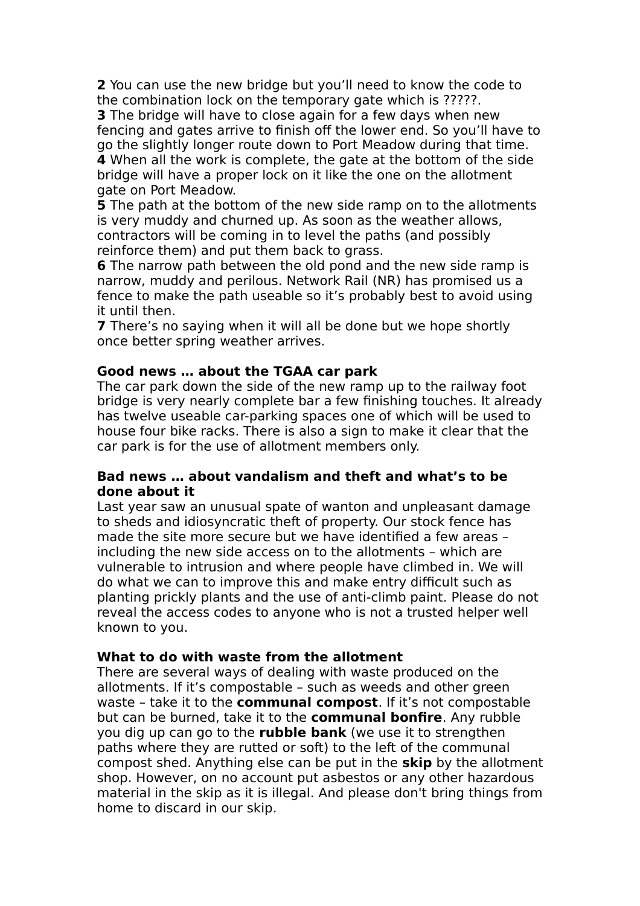**2** You can use the new bridge but you'll need to know the code to the combination lock on the temporary gate which is ?????.

**3** The bridge will have to close again for a few days when new fencing and gates arrive to finish off the lower end. So you'll have to go the slightly longer route down to Port Meadow during that time. **4** When all the work is complete, the gate at the bottom of the side bridge will have a proper lock on it like the one on the allotment gate on Port Meadow.

**5** The path at the bottom of the new side ramp on to the allotments is very muddy and churned up. As soon as the weather allows, contractors will be coming in to level the paths (and possibly reinforce them) and put them back to grass.

**6** The narrow path between the old pond and the new side ramp is narrow, muddy and perilous. Network Rail (NR) has promised us a fence to make the path useable so it's probably best to avoid using it until then.

**7** There's no saying when it will all be done but we hope shortly once better spring weather arrives.

# **Good news … about the TGAA car park**

The car park down the side of the new ramp up to the railway foot bridge is very nearly complete bar a few finishing touches. It already has twelve useable car-parking spaces one of which will be used to house four bike racks. There is also a sign to make it clear that the car park is for the use of allotment members only.

# **Bad news … about vandalism and theft and what's to be done about it**

Last year saw an unusual spate of wanton and unpleasant damage to sheds and idiosyncratic theft of property. Our stock fence has made the site more secure but we have identified a few areas – including the new side access on to the allotments – which are vulnerable to intrusion and where people have climbed in. We will do what we can to improve this and make entry difficult such as planting prickly plants and the use of anti-climb paint. Please do not reveal the access codes to anyone who is not a trusted helper well known to you.

# **What to do with waste from the allotment**

There are several ways of dealing with waste produced on the allotments. If it's compostable – such as weeds and other green waste – take it to the **communal compost**. If it's not compostable but can be burned, take it to the **communal bonfire**. Any rubble you dig up can go to the **rubble bank** (we use it to strengthen paths where they are rutted or soft) to the left of the communal compost shed. Anything else can be put in the **skip** by the allotment shop. However, on no account put asbestos or any other hazardous material in the skip as it is illegal. And please don't bring things from home to discard in our skip.